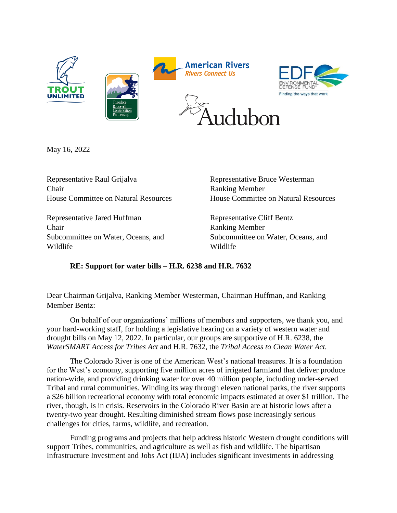

May 16, 2022

Representative Raul Grijalva Chair House Committee on Natural Resources

Representative Jared Huffman Chair Subcommittee on Water, Oceans, and Wildlife

Representative Bruce Westerman Ranking Member House Committee on Natural Resources

Representative Cliff Bentz Ranking Member Subcommittee on Water, Oceans, and Wildlife

## **RE: Support for water bills – H.R. 6238 and H.R. 7632**

Dear Chairman Grijalva, Ranking Member Westerman, Chairman Huffman, and Ranking Member Bentz:

On behalf of our organizations' millions of members and supporters, we thank you, and your hard-working staff, for holding a legislative hearing on a variety of western water and drought bills on May 12, 2022. In particular, our groups are supportive of H.R. 6238, the *WaterSMART Access for Tribes Act* and H.R. 7632, the *Tribal Access to Clean Water Act.*

The Colorado River is one of the American West's national treasures. It is a foundation for the West's economy, supporting five million acres of irrigated farmland that deliver produce nation-wide, and providing drinking water for over 40 million people, including under-served Tribal and rural communities. Winding its way through eleven national parks, the river supports a \$26 billion recreational economy with total economic impacts estimated at over \$1 trillion. The river, though, is in crisis. Reservoirs in the Colorado River Basin are at historic lows after a twenty-two year drought. Resulting diminished stream flows pose increasingly serious challenges for cities, farms, wildlife, and recreation.

Funding programs and projects that help address historic Western drought conditions will support Tribes, communities, and agriculture as well as fish and wildlife. The bipartisan Infrastructure Investment and Jobs Act (IIJA) includes significant investments in addressing